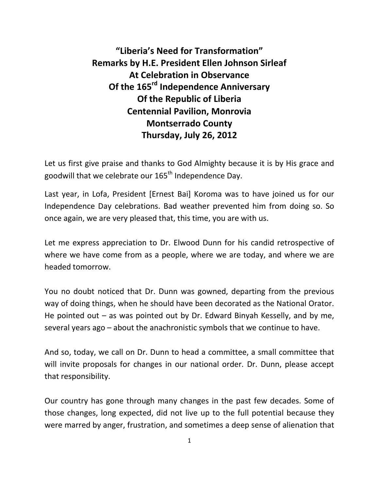**"Liberia's Need for Transformation" Remarks by H.E. President Ellen Johnson Sirleaf At Celebration in Observance Of the 165 rd Independence Anniversary Of the Republic of Liberia Centennial Pavilion, Monrovia Montserrado County Thursday, July 26, 2012**

Let us first give praise and thanks to God Almighty because it is by His grace and goodwill that we celebrate our 165<sup>th</sup> Independence Day.

Last year, in Lofa, President [Ernest Bai] Koroma was to have joined us for our Independence Day celebrations. Bad weather prevented him from doing so. So once again, we are very pleased that, this time, you are with us.

Let me express appreciation to Dr. Elwood Dunn for his candid retrospective of where we have come from as a people, where we are today, and where we are headed tomorrow.

You no doubt noticed that Dr. Dunn was gowned, departing from the previous way of doing things, when he should have been decorated as the National Orator. He pointed out – as was pointed out by Dr. Edward Binyah Kesselly, and by me, several years ago – about the anachronistic symbols that we continue to have.

And so, today, we call on Dr. Dunn to head a committee, a small committee that will invite proposals for changes in our national order. Dr. Dunn, please accept that responsibility.

Our country has gone through many changes in the past few decades. Some of those changes, long expected, did not live up to the full potential because they were marred by anger, frustration, and sometimes a deep sense of alienation that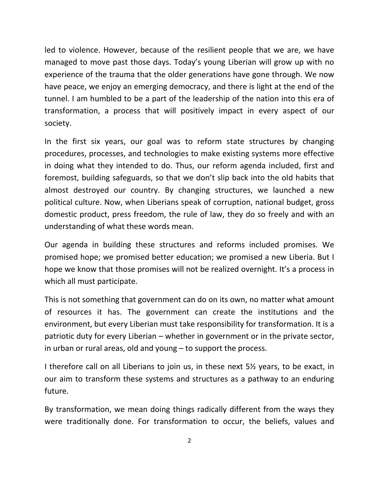led to violence. However, because of the resilient people that we are, we have managed to move past those days. Today's young Liberian will grow up with no experience of the trauma that the older generations have gone through. We now have peace, we enjoy an emerging democracy, and there is light at the end of the tunnel. I am humbled to be a part of the leadership of the nation into this era of transformation, a process that will positively impact in every aspect of our society.

In the first six years, our goal was to reform state structures by changing procedures, processes, and technologies to make existing systems more effective in doing what they intended to do. Thus, our reform agenda included, first and foremost, building safeguards, so that we don't slip back into the old habits that almost destroyed our country. By changing structures, we launched a new political culture. Now, when Liberians speak of corruption, national budget, gross domestic product, press freedom, the rule of law, they do so freely and with an understanding of what these words mean.

Our agenda in building these structures and reforms included promises. We promised hope; we promised better education; we promised a new Liberia. But I hope we know that those promises will not be realized overnight. It's a process in which all must participate.

This is not something that government can do on its own, no matter what amount of resources it has. The government can create the institutions and the environment, but every Liberian must take responsibility for transformation. It is a patriotic duty for every Liberian – whether in government or in the private sector, in urban or rural areas, old and young – to support the process.

I therefore call on all Liberians to join us, in these next 5½ years, to be exact, in our aim to transform these systems and structures as a pathway to an enduring future.

By transformation, we mean doing things radically different from the ways they were traditionally done. For transformation to occur, the beliefs, values and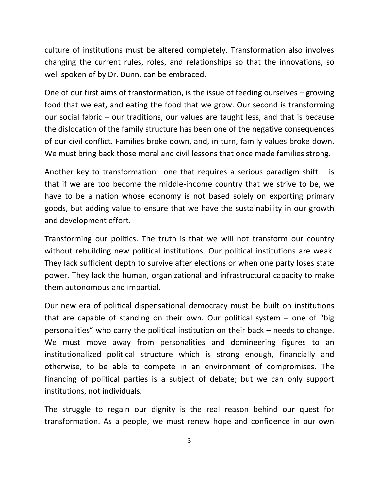culture of institutions must be altered completely. Transformation also involves changing the current rules, roles, and relationships so that the innovations, so well spoken of by Dr. Dunn, can be embraced.

One of our first aims of transformation, is the issue of feeding ourselves – growing food that we eat, and eating the food that we grow. Our second is transforming our social fabric – our traditions, our values are taught less, and that is because the dislocation of the family structure has been one of the negative consequences of our civil conflict. Families broke down, and, in turn, family values broke down. We must bring back those moral and civil lessons that once made families strong.

Another key to transformation –one that requires a serious paradigm shift – is that if we are too become the middle-income country that we strive to be, we have to be a nation whose economy is not based solely on exporting primary goods, but adding value to ensure that we have the sustainability in our growth and development effort.

Transforming our politics. The truth is that we will not transform our country without rebuilding new political institutions. Our political institutions are weak. They lack sufficient depth to survive after elections or when one party loses state power. They lack the human, organizational and infrastructural capacity to make them autonomous and impartial.

Our new era of political dispensational democracy must be built on institutions that are capable of standing on their own. Our political system  $-$  one of "big personalities" who carry the political institution on their back – needs to change. We must move away from personalities and domineering figures to an institutionalized political structure which is strong enough, financially and otherwise, to be able to compete in an environment of compromises. The financing of political parties is a subject of debate; but we can only support institutions, not individuals.

The struggle to regain our dignity is the real reason behind our quest for transformation. As a people, we must renew hope and confidence in our own

3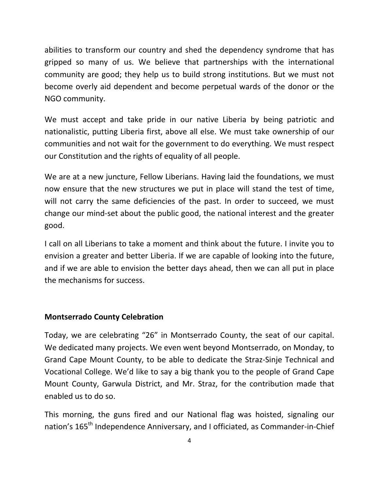abilities to transform our country and shed the dependency syndrome that has gripped so many of us. We believe that partnerships with the international community are good; they help us to build strong institutions. But we must not become overly aid dependent and become perpetual wards of the donor or the NGO community.

We must accept and take pride in our native Liberia by being patriotic and nationalistic, putting Liberia first, above all else. We must take ownership of our communities and not wait for the government to do everything. We must respect our Constitution and the rights of equality of all people.

We are at a new juncture, Fellow Liberians. Having laid the foundations, we must now ensure that the new structures we put in place will stand the test of time, will not carry the same deficiencies of the past. In order to succeed, we must change our mind-set about the public good, the national interest and the greater good.

I call on all Liberians to take a moment and think about the future. I invite you to envision a greater and better Liberia. If we are capable of looking into the future, and if we are able to envision the better days ahead, then we can all put in place the mechanisms for success.

## **Montserrado County Celebration**

Today, we are celebrating "26" in Montserrado County, the seat of our capital. We dedicated many projects. We even went beyond Montserrado, on Monday, to Grand Cape Mount County, to be able to dedicate the Straz-Sinje Technical and Vocational College. We'd like to say a big thank you to the people of Grand Cape Mount County, Garwula District, and Mr. Straz, for the contribution made that enabled us to do so.

This morning, the guns fired and our National flag was hoisted, signaling our nation's 165<sup>th</sup> Independence Anniversary, and I officiated, as Commander-in-Chief